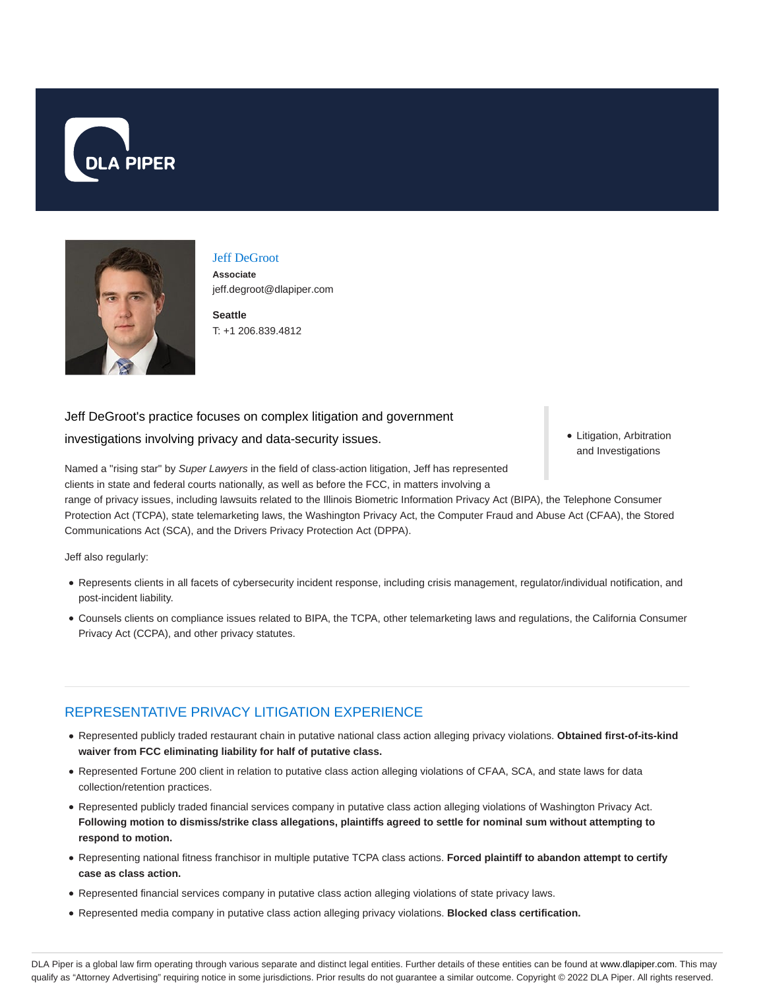



### Jeff DeGroot

**Associate** jeff.degroot@dlapiper.com

**Seattle** T: +1 206.839.4812

## Jeff DeGroot's practice focuses on complex litigation and government

investigations involving privacy and data-security issues.

• Litigation, Arbitration and Investigations

Named a "rising star" by Super Lawyers in the field of class-action litigation, Jeff has represented clients in state and federal courts nationally, as well as before the FCC, in matters involving a

range of privacy issues, including lawsuits related to the Illinois Biometric Information Privacy Act (BIPA), the Telephone Consumer Protection Act (TCPA), state telemarketing laws, the Washington Privacy Act, the Computer Fraud and Abuse Act (CFAA), the Stored Communications Act (SCA), and the Drivers Privacy Protection Act (DPPA).

Jeff also regularly:

- Represents clients in all facets of cybersecurity incident response, including crisis management, regulator/individual notification, and post-incident liability.
- Counsels clients on compliance issues related to BIPA, the TCPA, other telemarketing laws and regulations, the California Consumer Privacy Act (CCPA), and other privacy statutes.

## REPRESENTATIVE PRIVACY LITIGATION EXPERIENCE

- Represented publicly traded restaurant chain in putative national class action alleging privacy violations. **Obtained first-of-its-kind waiver from FCC eliminating liability for half of putative class.**
- Represented Fortune 200 client in relation to putative class action alleging violations of CFAA, SCA, and state laws for data collection/retention practices.
- Represented publicly traded financial services company in putative class action alleging violations of Washington Privacy Act. **Following motion to dismiss/strike class allegations, plaintiffs agreed to settle for nominal sum without attempting to respond to motion.**
- Representing national fitness franchisor in multiple putative TCPA class actions. **Forced plaintiff to abandon attempt to certify case as class action.**
- Represented financial services company in putative class action alleging violations of state privacy laws.
- Represented media company in putative class action alleging privacy violations. **Blocked class certification.**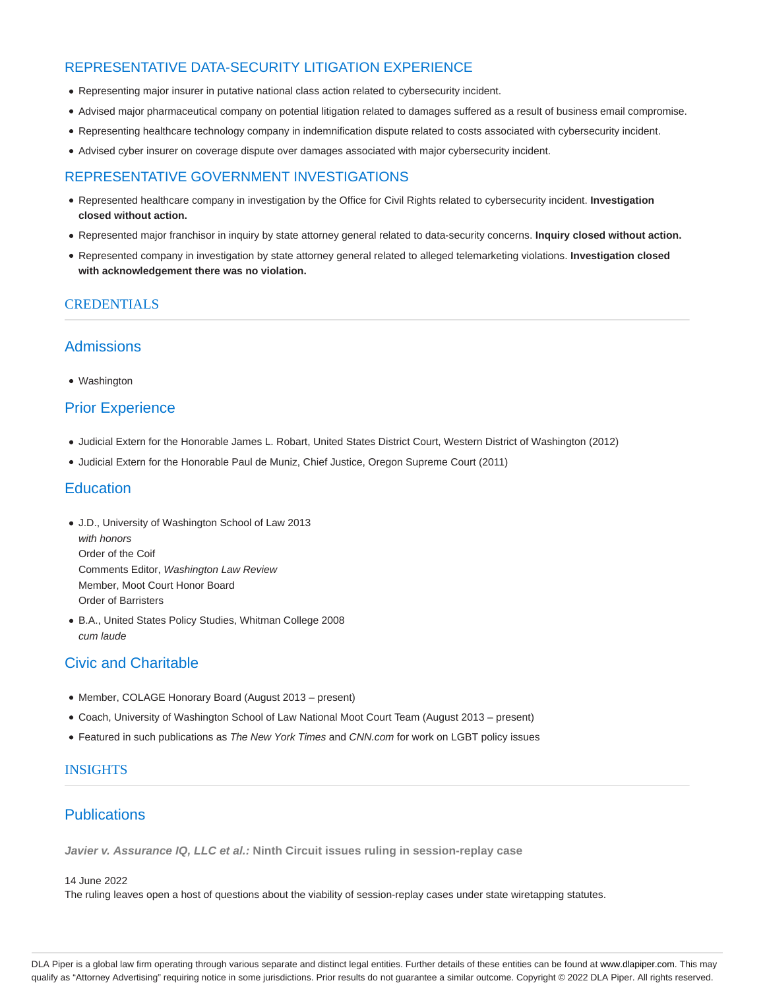# REPRESENTATIVE DATA-SECURITY LITIGATION EXPERIENCE

- Representing major insurer in putative national class action related to cybersecurity incident.
- Advised major pharmaceutical company on potential litigation related to damages suffered as a result of business email compromise.
- Representing healthcare technology company in indemnification dispute related to costs associated with cybersecurity incident.
- Advised cyber insurer on coverage dispute over damages associated with major cybersecurity incident.

## REPRESENTATIVE GOVERNMENT INVESTIGATIONS

- Represented healthcare company in investigation by the Office for Civil Rights related to cybersecurity incident. **Investigation closed without action.**
- Represented major franchisor in inquiry by state attorney general related to data-security concerns. **Inquiry closed without action.**
- Represented company in investigation by state attorney general related to alleged telemarketing violations. **Investigation closed with acknowledgement there was no violation.**

### **CREDENTIALS**

## Admissions

• Washington

# Prior Experience

- Judicial Extern for the Honorable James L. Robart, United States District Court, Western District of Washington (2012)
- Judicial Extern for the Honorable Paul de Muniz, Chief Justice, Oregon Supreme Court (2011)

## **Education**

- J.D., University of Washington School of Law 2013 with honors Order of the Coif Comments Editor, Washington Law Review Member, Moot Court Honor Board Order of Barristers
- B.A., United States Policy Studies, Whitman College 2008 cum laude

# Civic and Charitable

- Member, COLAGE Honorary Board (August 2013 present)
- Coach, University of Washington School of Law National Moot Court Team (August 2013 present)
- Featured in such publications as The New York Times and CNN.com for work on LGBT policy issues

## INSIGHTS

# **Publications**

**Javier v. Assurance IQ, LLC et al.: Ninth Circuit issues ruling in session-replay case**

#### 14 June 2022

The ruling leaves open a host of questions about the viability of session-replay cases under state wiretapping statutes.